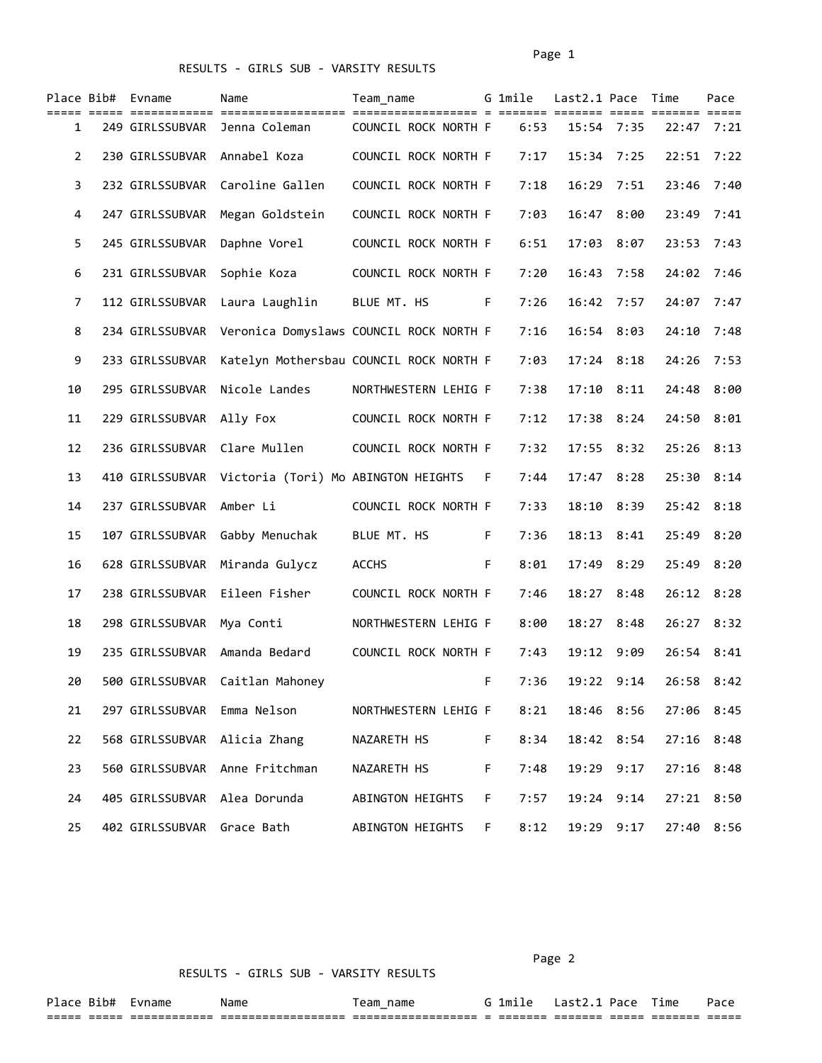## RESULTS - GIRLS SUB - VARSITY RESULTS

|              | Place Bib# Evname            | Name                                                | Team name                               |    | G 1mile | Last2.1 Pace Time |                |              | Pace |
|--------------|------------------------------|-----------------------------------------------------|-----------------------------------------|----|---------|-------------------|----------------|--------------|------|
| 1            | 249 GIRLSSUBVAR              | Jenna Coleman                                       | COUNCIL ROCK NORTH F                    |    | 6:53    | 15:54 7:35        |                | $22:47$ 7:21 |      |
| $\mathbf{2}$ | 230 GIRLSSUBVAR              | Annabel Koza                                        | COUNCIL ROCK NORTH F                    |    | 7:17    | 15:34             | 7:25           | 22:51        | 7:22 |
| 3            | 232 GIRLSSUBVAR              | Caroline Gallen                                     | COUNCIL ROCK NORTH F                    |    | 7:18    | 16:29             | 7:51           | 23:46        | 7:40 |
| 4            | 247 GIRLSSUBVAR              | Megan Goldstein                                     | COUNCIL ROCK NORTH F                    |    | 7:03    | 16:47             | 8:00           | 23:49        | 7:41 |
| 5.           | 245 GIRLSSUBVAR              | Daphne Vorel                                        | COUNCIL ROCK NORTH F                    |    | 6:51    |                   | 17:03 8:07     | 23:53        | 7:43 |
| 6            | 231 GIRLSSUBVAR              | Sophie Koza                                         | COUNCIL ROCK NORTH F                    |    | 7:20    | 16:43             | 7:58           | 24:02 7:46   |      |
| 7            | 112 GIRLSSUBVAR              | Laura Laughlin                                      | BLUE MT. HS                             | F. | 7:26    | 16:42             | 7:57           | 24:07        | 7:47 |
| 8            | 234 GIRLSSUBVAR              | Veronica Domyslaws COUNCIL ROCK NORTH F             |                                         |    | 7:16    | 16:54             | 8:03           | 24:10        | 7:48 |
| 9            | 233 GIRLSSUBVAR              |                                                     | Katelyn Mothersbau COUNCIL ROCK NORTH F |    | 7:03    |                   | $17:24$ 8:18   | 24:26        | 7:53 |
| 10           | 295 GIRLSSUBVAR              | Nicole Landes                                       | NORTHWESTERN LEHIG F                    |    | 7:38    | 17:10             | 8:11           | 24:48        | 8:00 |
| 11           | 229 GIRLSSUBVAR              | Ally Fox                                            | COUNCIL ROCK NORTH F                    |    | 7:12    |                   | $17:38$ $8:24$ | 24:50 8:01   |      |
| 12           | 236 GIRLSSUBVAR              | Clare Mullen                                        | COUNCIL ROCK NORTH F                    |    | 7:32    |                   | $17:55$ 8:32   | 25:26 8:13   |      |
| 13           |                              | 410 GIRLSSUBVAR Victoria (Tori) Mo ABINGTON HEIGHTS |                                         | F. | 7:44    | 17:47             | 8:28           | 25:30 8:14   |      |
| 14           | 237 GIRLSSUBVAR              | Amber Li                                            | COUNCIL ROCK NORTH F                    |    | 7:33    | 18:10             | 8:39           | 25:42 8:18   |      |
| 15           | 107 GIRLSSUBVAR              | Gabby Menuchak                                      | BLUE MT. HS                             | F. | 7:36    | 18:13             | 8:41           | 25:49        | 8:20 |
| 16           | 628 GIRLSSUBVAR              | Miranda Gulycz                                      | <b>ACCHS</b>                            | F. | 8:01    |                   | 17:49 8:29     | 25:49 8:20   |      |
| 17           |                              | 238 GIRLSSUBVAR Eileen Fisher                       | COUNCIL ROCK NORTH F                    |    | 7:46    |                   | 18:27 8:48     | 26:12 8:28   |      |
| 18           | 298 GIRLSSUBVAR              | Mya Conti                                           | NORTHWESTERN LEHIG F                    |    | 8:00    |                   | 18:27 8:48     | $26:27$ 8:32 |      |
| 19           | 235 GIRLSSUBVAR              | Amanda Bedard                                       | COUNCIL ROCK NORTH F                    |    | 7:43    | 19:12             | 9:09           | 26:54 8:41   |      |
| 20           | 500 GIRLSSUBVAR              | Caitlan Mahoney                                     |                                         | F  | 7:36    | 19:22             | 9:14           | 26:58 8:42   |      |
| 21           | 297 GIRLSSUBVAR Emma Nelson  |                                                     | NORTHWESTERN LEHIG F                    |    | 8:21    |                   | 18:46 8:56     | 27:06 8:45   |      |
| 22           | 568 GIRLSSUBVAR Alicia Zhang |                                                     | NAZARETH HS                             | F. | 8:34    |                   | 18:42 8:54     | 27:16 8:48   |      |
| 23           |                              | 560 GIRLSSUBVAR Anne Fritchman                      | NAZARETH HS                             | F. | 7:48    |                   | 19:29 9:17     | 27:16 8:48   |      |
| 24           | 405 GIRLSSUBVAR Alea Dorunda |                                                     | ABINGTON HEIGHTS                        | F. | 7:57    |                   | 19:24 9:14     | 27:21 8:50   |      |
| 25           | 402 GIRLSSUBVAR Grace Bath   |                                                     | ABINGTON HEIGHTS F                      |    | 8:12    |                   | 19:29 9:17     | 27:40 8:56   |      |

RESULTS - GIRLS SUB - VARSITY RESULTS

Page 2

| Place          | . เค+<br>エロ州 | name                      | Name                                | name<br>eam                      | lmile               |                    |              | - -<br>ıme | 'aut           |
|----------------|--------------|---------------------------|-------------------------------------|----------------------------------|---------------------|--------------------|--------------|------------|----------------|
| -----<br>_____ | _____        | _________<br>____________ | -------------<br>__________________ | $- - -$<br>_____________<br>---- | --------<br>------- | -------<br>------- | ___<br>----- |            | _____<br>_____ |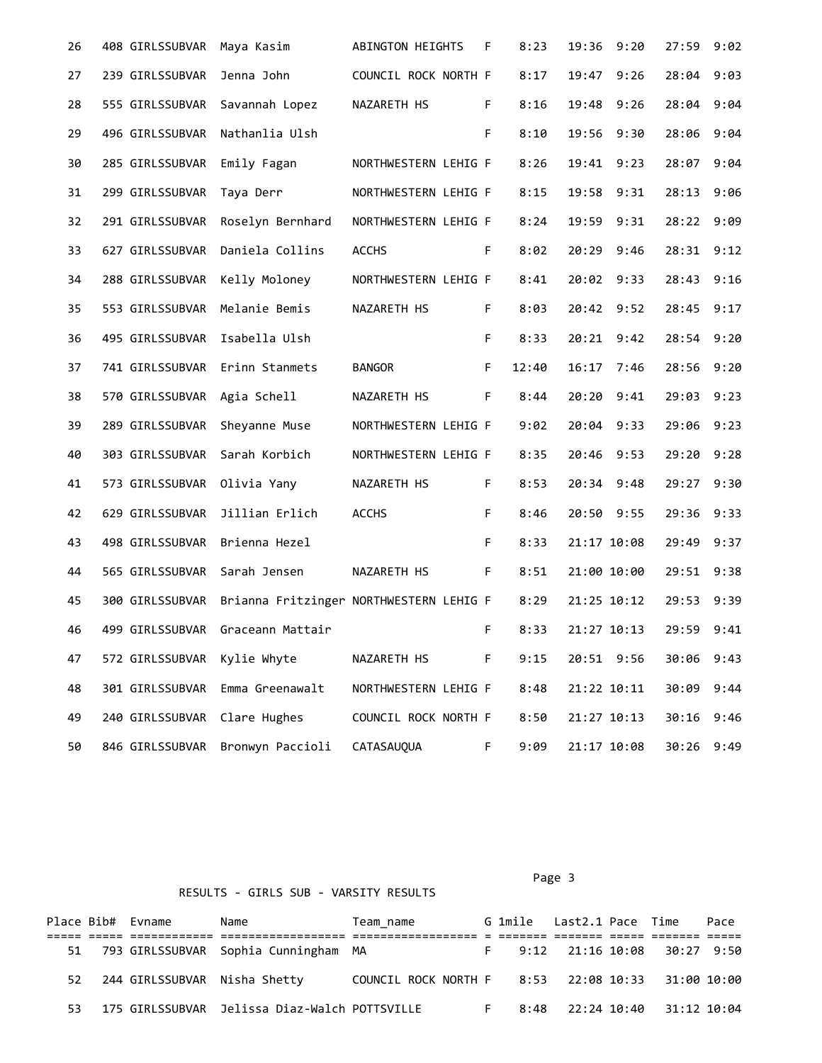| 26 | 408 GIRLSSUBVAR             | Maya Kasim                              | ABINGTON HEIGHTS     | F  | 8:23  | 19:36       | 9:20 | 27:59 9:02 |      |
|----|-----------------------------|-----------------------------------------|----------------------|----|-------|-------------|------|------------|------|
| 27 | 239 GIRLSSUBVAR             | Jenna John                              | COUNCIL ROCK NORTH F |    | 8:17  | 19:47       | 9:26 | 28:04      | 9:03 |
| 28 | 555 GIRLSSUBVAR             | Savannah Lopez                          | NAZARETH HS          | F. | 8:16  | 19:48 9:26  |      | 28:04 9:04 |      |
| 29 | 496 GIRLSSUBVAR             | Nathanlia Ulsh                          |                      | F. | 8:10  | 19:56 9:30  |      | 28:06 9:04 |      |
| 30 | 285 GIRLSSUBVAR             | Emily Fagan                             | NORTHWESTERN LEHIG F |    | 8:26  | 19:41 9:23  |      | 28:07      | 9:04 |
| 31 | 299 GIRLSSUBVAR             | Taya Derr                               | NORTHWESTERN LEHIG F |    | 8:15  | 19:58 9:31  |      | 28:13 9:06 |      |
| 32 | 291 GIRLSSUBVAR             | Roselyn Bernhard                        | NORTHWESTERN LEHIG F |    | 8:24  | 19:59 9:31  |      | 28:22 9:09 |      |
| 33 | 627 GIRLSSUBVAR             | Daniela Collins                         | <b>ACCHS</b>         | F. | 8:02  | 20:29       | 9:46 | 28:31 9:12 |      |
| 34 | 288 GIRLSSUBVAR             | Kelly Moloney                           | NORTHWESTERN LEHIG F |    | 8:41  | 20:02 9:33  |      | 28:43 9:16 |      |
| 35 |                             | 553 GIRLSSUBVAR Melanie Bemis           | NAZARETH HS          | F. | 8:03  | 20:42 9:52  |      | 28:45 9:17 |      |
| 36 | 495 GIRLSSUBVAR             | Isabella Ulsh                           |                      | F. | 8:33  | 20:21 9:42  |      | 28:54 9:20 |      |
| 37 |                             | 741 GIRLSSUBVAR Erinn Stanmets          | <b>BANGOR</b>        | F. | 12:40 | 16:17 7:46  |      | 28:56 9:20 |      |
| 38 | 570 GIRLSSUBVAR Agia Schell |                                         | NAZARETH HS          | F. | 8:44  | 20:20       | 9:41 | 29:03      | 9:23 |
| 39 | 289 GIRLSSUBVAR             | Sheyanne Muse                           | NORTHWESTERN LEHIG F |    | 9:02  | 20:04 9:33  |      | 29:06 9:23 |      |
| 40 | 303 GIRLSSUBVAR             | Sarah Korbich                           | NORTHWESTERN LEHIG F |    | 8:35  | 20:46 9:53  |      | 29:20 9:28 |      |
| 41 | 573 GIRLSSUBVAR             | Olivia Yany                             | NAZARETH HS          | F. | 8:53  | 20:34 9:48  |      | 29:27 9:30 |      |
| 42 | 629 GIRLSSUBVAR             | Jillian Erlich                          | <b>ACCHS</b>         | F. | 8:46  | 20:50 9:55  |      | 29:36 9:33 |      |
| 43 | 498 GIRLSSUBVAR             | Brienna Hezel                           |                      | F. | 8:33  | 21:17 10:08 |      | 29:49 9:37 |      |
| 44 | 565 GIRLSSUBVAR             | Sarah Jensen                            | NAZARETH HS          | F. | 8:51  | 21:00 10:00 |      | 29:51 9:38 |      |
| 45 | 300 GIRLSSUBVAR             | Brianna Fritzinger NORTHWESTERN LEHIG F |                      |    | 8:29  | 21:25 10:12 |      | 29:53      | 9:39 |
| 46 | 499 GIRLSSUBVAR             | Graceann Mattair                        |                      | F. | 8:33  | 21:27 10:13 |      | 29:59 9:41 |      |
| 47 | 572 GIRLSSUBVAR             | Kylie Whyte                             | NAZARETH HS          | F. | 9:15  | 20:51 9:56  |      | 30:06 9:43 |      |
| 48 | 301 GIRLSSUBVAR             | Emma Greenawalt                         | NORTHWESTERN LEHIG F |    | 8:48  | 21:22 10:11 |      | 30:09      | 9:44 |
| 49 | 240 GIRLSSUBVAR             | Clare Hughes                            | COUNCIL ROCK NORTH F |    | 8:50  | 21:27 10:13 |      | 30:16      | 9:46 |
| 50 | 846 GIRLSSUBVAR             | Bronwyn Paccioli                        | CATASAUQUA           | F. | 9:09  | 21:17 10:08 |      | 30:26 9:49 |      |

Page 3 and 2012 and 2012 and 2012 and 2012 and 2012 and 2012 and 2012 and 2012 and 2012 and 2012 and 2012 and

## RESULTS - GIRLS SUB - VARSITY RESULTS

|    | Place Bib# Evname | Name                                          | Team name                                         |  | G 1mile Last2.1 Pace Time     |  | Pace |
|----|-------------------|-----------------------------------------------|---------------------------------------------------|--|-------------------------------|--|------|
|    |                   |                                               |                                                   |  |                               |  |      |
|    |                   | 51 793 GIRLSSUBVAR Sophia Cunningham MA       |                                                   |  | F 9:12 21:16 10:08 30:27 9:50 |  |      |
| 52 |                   | 244 GIRLSSUBVAR Nisha Shetty                  | COUNCIL ROCK NORTH F 8:53 22:08 10:33 31:00 10:00 |  |                               |  |      |
| 53 |                   | 175 GIRLSSUBVAR Jelissa Diaz-Walch POTTSVILLE |                                                   |  | 8:48 22:24 10:40 31:12 10:04  |  |      |